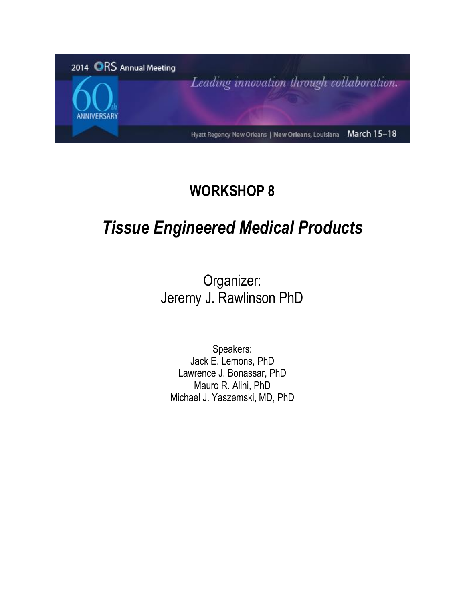

# **WORKSHOP 8**

# *Tissue Engineered Medical Products*

Organizer: Jeremy J. Rawlinson PhD

Speakers: Jack E. Lemons, PhD Lawrence J. Bonassar, PhD Mauro R. Alini, PhD Michael J. Yaszemski, MD, PhD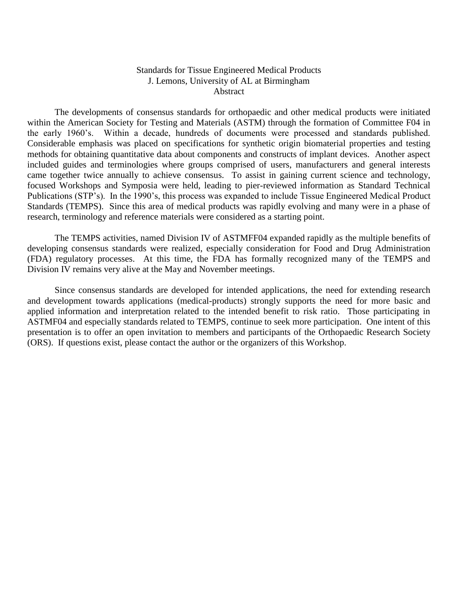### Standards for Tissue Engineered Medical Products J. Lemons, University of AL at Birmingham Abstract

The developments of consensus standards for orthopaedic and other medical products were initiated within the American Society for Testing and Materials (ASTM) through the formation of Committee F04 in the early 1960's. Within a decade, hundreds of documents were processed and standards published. Considerable emphasis was placed on specifications for synthetic origin biomaterial properties and testing methods for obtaining quantitative data about components and constructs of implant devices. Another aspect included guides and terminologies where groups comprised of users, manufacturers and general interests came together twice annually to achieve consensus. To assist in gaining current science and technology, focused Workshops and Symposia were held, leading to pier-reviewed information as Standard Technical Publications (STP's). In the 1990's, this process was expanded to include Tissue Engineered Medical Product Standards (TEMPS). Since this area of medical products was rapidly evolving and many were in a phase of research, terminology and reference materials were considered as a starting point.

The TEMPS activities, named Division IV of ASTMFF04 expanded rapidly as the multiple benefits of developing consensus standards were realized, especially consideration for Food and Drug Administration (FDA) regulatory processes. At this time, the FDA has formally recognized many of the TEMPS and Division IV remains very alive at the May and November meetings.

Since consensus standards are developed for intended applications, the need for extending research and development towards applications (medical-products) strongly supports the need for more basic and applied information and interpretation related to the intended benefit to risk ratio. Those participating in ASTMF04 and especially standards related to TEMPS, continue to seek more participation. One intent of this presentation is to offer an open invitation to members and participants of the Orthopaedic Research Society (ORS). If questions exist, please contact the author or the organizers of this Workshop.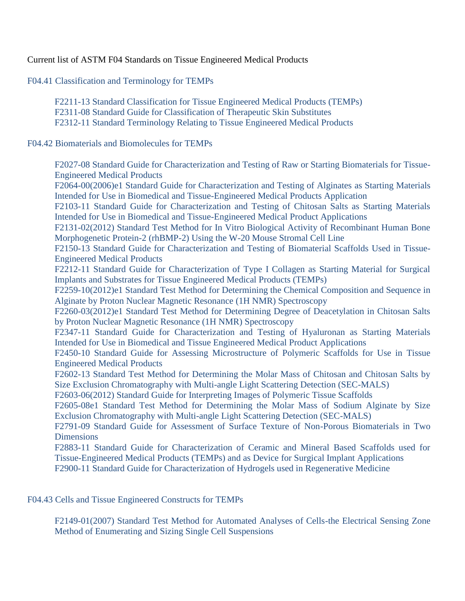Current list of ASTM F04 Standards on Tissue Engineered Medical Products

F04.41 Classification and Terminology for TEMPs

F2211-13 Standard Classification for Tissue Engineered Medical Products (TEMPs) F2311-08 Standard Guide for Classification of Therapeutic Skin Substitutes F2312-11 Standard Terminology Relating to Tissue Engineered Medical Products

F04.42 Biomaterials and Biomolecules for TEMPs

F2027-08 Standard Guide for Characterization and Testing of Raw or Starting Biomaterials for Tissue-Engineered Medical Products

F2064-00(2006)e1 Standard Guide for Characterization and Testing of Alginates as Starting Materials Intended for Use in Biomedical and Tissue-Engineered Medical Products Application

F2103-11 Standard Guide for Characterization and Testing of Chitosan Salts as Starting Materials Intended for Use in Biomedical and Tissue-Engineered Medical Product Applications

F2131-02(2012) Standard Test Method for In Vitro Biological Activity of Recombinant Human Bone Morphogenetic Protein-2 (rhBMP-2) Using the W-20 Mouse Stromal Cell Line

F2150-13 Standard Guide for Characterization and Testing of Biomaterial Scaffolds Used in Tissue-Engineered Medical Products

F2212-11 Standard Guide for Characterization of Type I Collagen as Starting Material for Surgical Implants and Substrates for Tissue Engineered Medical Products (TEMPs)

F2259-10(2012)e1 Standard Test Method for Determining the Chemical Composition and Sequence in Alginate by Proton Nuclear Magnetic Resonance (1H NMR) Spectroscopy

F2260-03(2012)e1 Standard Test Method for Determining Degree of Deacetylation in Chitosan Salts by Proton Nuclear Magnetic Resonance (1H NMR) Spectroscopy

F2347-11 Standard Guide for Characterization and Testing of Hyaluronan as Starting Materials Intended for Use in Biomedical and Tissue Engineered Medical Product Applications

F2450-10 Standard Guide for Assessing Microstructure of Polymeric Scaffolds for Use in Tissue Engineered Medical Products

F2602-13 Standard Test Method for Determining the Molar Mass of Chitosan and Chitosan Salts by Size Exclusion Chromatography with Multi-angle Light Scattering Detection (SEC-MALS)

F2603-06(2012) Standard Guide for Interpreting Images of Polymeric Tissue Scaffolds

F2605-08e1 Standard Test Method for Determining the Molar Mass of Sodium Alginate by Size Exclusion Chromatography with Multi-angle Light Scattering Detection (SEC-MALS)

F2791-09 Standard Guide for Assessment of Surface Texture of Non-Porous Biomaterials in Two **Dimensions** 

F2883-11 Standard Guide for Characterization of Ceramic and Mineral Based Scaffolds used for Tissue-Engineered Medical Products (TEMPs) and as Device for Surgical Implant Applications F2900-11 Standard Guide for Characterization of Hydrogels used in Regenerative Medicine

F04.43 Cells and Tissue Engineered Constructs for TEMPs

F2149-01(2007) Standard Test Method for Automated Analyses of Cells-the Electrical Sensing Zone Method of Enumerating and Sizing Single Cell Suspensions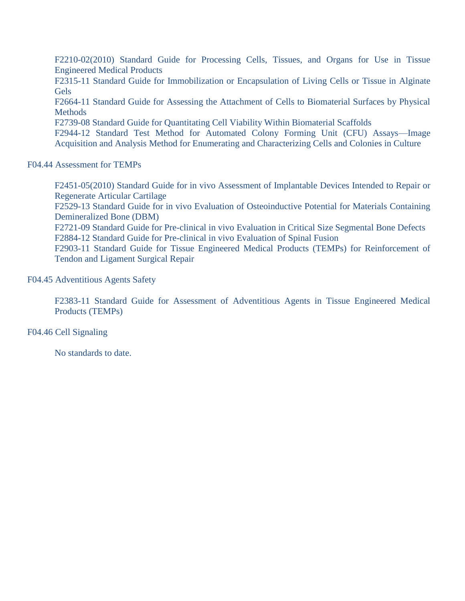F2210-02(2010) Standard Guide for Processing Cells, Tissues, and Organs for Use in Tissue Engineered Medical Products

F2315-11 Standard Guide for Immobilization or Encapsulation of Living Cells or Tissue in Alginate Gels

F2664-11 Standard Guide for Assessing the Attachment of Cells to Biomaterial Surfaces by Physical **Methods** 

F2739-08 Standard Guide for Quantitating Cell Viability Within Biomaterial Scaffolds

F2944-12 Standard Test Method for Automated Colony Forming Unit (CFU) Assays—Image Acquisition and Analysis Method for Enumerating and Characterizing Cells and Colonies in Culture

## F04.44 Assessment for TEMPs

F2451-05(2010) Standard Guide for in vivo Assessment of Implantable Devices Intended to Repair or Regenerate Articular Cartilage

F2529-13 Standard Guide for in vivo Evaluation of Osteoinductive Potential for Materials Containing Demineralized Bone (DBM)

F2721-09 Standard Guide for Pre-clinical in vivo Evaluation in Critical Size Segmental Bone Defects F2884-12 Standard Guide for Pre-clinical in vivo Evaluation of Spinal Fusion

F2903-11 Standard Guide for Tissue Engineered Medical Products (TEMPs) for Reinforcement of Tendon and Ligament Surgical Repair

F04.45 Adventitious Agents Safety

F2383-11 Standard Guide for Assessment of Adventitious Agents in Tissue Engineered Medical Products (TEMPs)

F04.46 Cell Signaling

No standards to date.